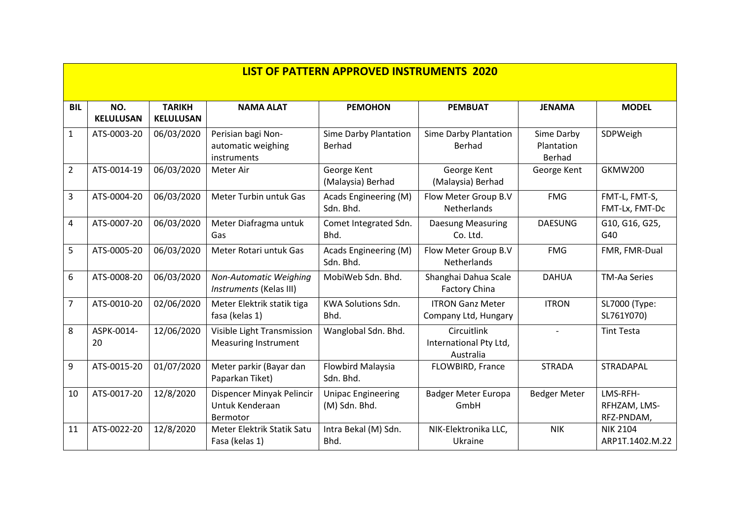|                         | <b>LIST OF PATTERN APPROVED INSTRUMENTS 2020</b> |                                   |                                                           |                                            |                                                    |                                    |                                        |  |  |  |
|-------------------------|--------------------------------------------------|-----------------------------------|-----------------------------------------------------------|--------------------------------------------|----------------------------------------------------|------------------------------------|----------------------------------------|--|--|--|
| <b>BIL</b>              | NO.<br><b>KELULUSAN</b>                          | <b>TARIKH</b><br><b>KELULUSAN</b> | <b>NAMA ALAT</b>                                          | <b>PEMOHON</b>                             | <b>PEMBUAT</b>                                     | <b>JENAMA</b>                      | <b>MODEL</b>                           |  |  |  |
| 1                       | ATS-0003-20                                      | 06/03/2020                        | Perisian bagi Non-<br>automatic weighing<br>instruments   | Sime Darby Plantation<br>Berhad            | Sime Darby Plantation<br>Berhad                    | Sime Darby<br>Plantation<br>Berhad | SDPWeigh                               |  |  |  |
| $\overline{2}$          | ATS-0014-19                                      | 06/03/2020                        | Meter Air                                                 | George Kent<br>(Malaysia) Berhad           | George Kent<br>(Malaysia) Berhad                   | George Kent                        | <b>GKMW200</b>                         |  |  |  |
| 3                       | ATS-0004-20                                      | 06/03/2020                        | Meter Turbin untuk Gas                                    | Acads Engineering (M)<br>Sdn. Bhd.         | Flow Meter Group B.V<br><b>Netherlands</b>         | <b>FMG</b>                         | FMT-L, FMT-S,<br>FMT-Lx, FMT-Dc        |  |  |  |
| $\overline{\mathbf{4}}$ | ATS-0007-20                                      | 06/03/2020                        | Meter Diafragma untuk<br>Gas                              | Comet Integrated Sdn.<br>Bhd.              | <b>Daesung Measuring</b><br>Co. Ltd.               | <b>DAESUNG</b>                     | G10, G16, G25,<br>G40                  |  |  |  |
| 5                       | ATS-0005-20                                      | 06/03/2020                        | Meter Rotari untuk Gas                                    | Acads Engineering (M)<br>Sdn. Bhd.         | Flow Meter Group B.V<br>Netherlands                | <b>FMG</b>                         | FMR, FMR-Dual                          |  |  |  |
| 6                       | ATS-0008-20                                      | 06/03/2020                        | Non-Automatic Weighing<br>Instruments (Kelas III)         | MobiWeb Sdn. Bhd.                          | Shanghai Dahua Scale<br><b>Factory China</b>       | <b>DAHUA</b>                       | <b>TM-Aa Series</b>                    |  |  |  |
| $\overline{7}$          | ATS-0010-20                                      | 02/06/2020                        | Meter Elektrik statik tiga<br>fasa (kelas 1)              | <b>KWA Solutions Sdn.</b><br>Bhd.          | <b>ITRON Ganz Meter</b><br>Company Ltd, Hungary    | <b>ITRON</b>                       | SL7000 (Type:<br>SL761Y070)            |  |  |  |
| 8                       | ASPK-0014-<br>20                                 | 12/06/2020                        | Visible Light Transmission<br><b>Measuring Instrument</b> | Wanglobal Sdn. Bhd.                        | Circuitlink<br>International Pty Ltd,<br>Australia | $\overline{a}$                     | <b>Tint Testa</b>                      |  |  |  |
| 9                       | ATS-0015-20                                      | 01/07/2020                        | Meter parkir (Bayar dan<br>Paparkan Tiket)                | <b>Flowbird Malaysia</b><br>Sdn. Bhd.      | FLOWBIRD, France                                   | <b>STRADA</b>                      | STRADAPAL                              |  |  |  |
| 10                      | ATS-0017-20                                      | 12/8/2020                         | Dispencer Minyak Pelincir<br>Untuk Kenderaan<br>Bermotor  | <b>Unipac Engineering</b><br>(M) Sdn. Bhd. | <b>Badger Meter Europa</b><br>GmbH                 | <b>Bedger Meter</b>                | LMS-RFH-<br>RFHZAM, LMS-<br>RFZ-PNDAM, |  |  |  |
| 11                      | ATS-0022-20                                      | 12/8/2020                         | Meter Elektrik Statik Satu<br>Fasa (kelas 1)              | Intra Bekal (M) Sdn.<br>Bhd.               | NIK-Elektronika LLC,<br>Ukraine                    | <b>NIK</b>                         | <b>NIK 2104</b><br>ARP1T.1402.M.22     |  |  |  |

 $\blacksquare$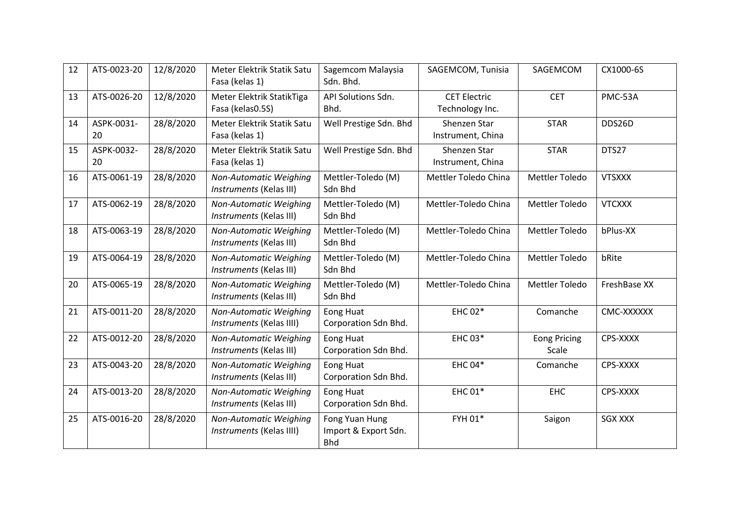| 12 | ATS-0023-20      | 12/8/2020 | Meter Elektrik Statik Satu<br>Fasa (kelas 1)       | Sagemcom Malaysia<br>Sdn. Bhd.                       | SAGEMCOM, Tunisia                      | SAGEMCOM                     | CX1000-6S      |
|----|------------------|-----------|----------------------------------------------------|------------------------------------------------------|----------------------------------------|------------------------------|----------------|
| 13 | ATS-0026-20      | 12/8/2020 | Meter Elektrik StatikTiga<br>Fasa (kelas0.5S)      | API Solutions Sdn.<br>Bhd.                           | <b>CET Electric</b><br>Technology Inc. | <b>CET</b>                   | PMC-53A        |
| 14 | ASPK-0031-<br>20 | 28/8/2020 | Meter Elektrik Statik Satu<br>Fasa (kelas 1)       | Well Prestige Sdn. Bhd                               | Shenzen Star<br>Instrument, China      | <b>STAR</b>                  | DDS26D         |
| 15 | ASPK-0032-<br>20 | 28/8/2020 | Meter Elektrik Statik Satu<br>Fasa (kelas 1)       | Well Prestige Sdn. Bhd                               | Shenzen Star<br>Instrument, China      | <b>STAR</b>                  | DTS27          |
| 16 | ATS-0061-19      | 28/8/2020 | Non-Automatic Weighing<br>Instruments (Kelas III)  | Mettler-Toledo (M)<br>Sdn Bhd                        | Mettler Toledo China                   | <b>Mettler Toledo</b>        | <b>VTSXXX</b>  |
| 17 | ATS-0062-19      | 28/8/2020 | Non-Automatic Weighing<br>Instruments (Kelas III)  | Mettler-Toledo (M)<br>Sdn Bhd                        | Mettler-Toledo China                   | Mettler Toledo               | <b>VTCXXX</b>  |
| 18 | ATS-0063-19      | 28/8/2020 | Non-Automatic Weighing<br>Instruments (Kelas III)  | Mettler-Toledo (M)<br>Sdn Bhd                        | Mettler-Toledo China                   | <b>Mettler Toledo</b>        | bPlus-XX       |
| 19 | ATS-0064-19      | 28/8/2020 | Non-Automatic Weighing<br>Instruments (Kelas III)  | Mettler-Toledo (M)<br>Sdn Bhd                        | Mettler-Toledo China                   | <b>Mettler Toledo</b>        | bRite          |
| 20 | ATS-0065-19      | 28/8/2020 | Non-Automatic Weighing<br>Instruments (Kelas III)  | Mettler-Toledo (M)<br>Sdn Bhd                        | Mettler-Toledo China                   | Mettler Toledo               | FreshBase XX   |
| 21 | ATS-0011-20      | 28/8/2020 | Non-Automatic Weighing<br>Instruments (Kelas IIII) | Eong Huat<br>Corporation Sdn Bhd.                    | <b>EHC 02*</b>                         | Comanche                     | CMC-XXXXXX     |
| 22 | ATS-0012-20      | 28/8/2020 | Non-Automatic Weighing<br>Instruments (Kelas III)  | <b>Eong Huat</b><br>Corporation Sdn Bhd.             | EHC 03*                                | <b>Eong Pricing</b><br>Scale | CPS-XXXX       |
| 23 | ATS-0043-20      | 28/8/2020 | Non-Automatic Weighing<br>Instruments (Kelas III)  | Eong Huat<br>Corporation Sdn Bhd.                    | <b>EHC 04*</b>                         | Comanche                     | CPS-XXXX       |
| 24 | ATS-0013-20      | 28/8/2020 | Non-Automatic Weighing<br>Instruments (Kelas III)  | Eong Huat<br>Corporation Sdn Bhd.                    | <b>EHC 01*</b>                         | <b>EHC</b>                   | CPS-XXXX       |
| 25 | ATS-0016-20      | 28/8/2020 | Non-Automatic Weighing<br>Instruments (Kelas IIII) | Fong Yuan Hung<br>Import & Export Sdn.<br><b>Bhd</b> | FYH 01*                                | Saigon                       | <b>SGX XXX</b> |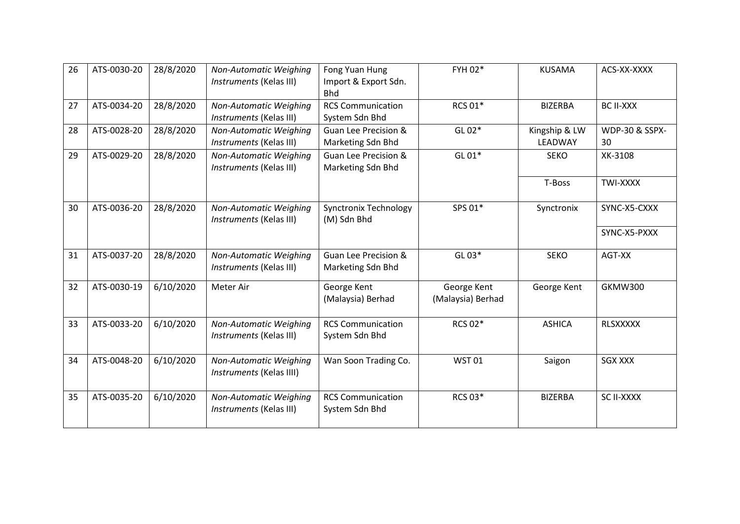| 26 | ATS-0030-20 | 28/8/2020 | Non-Automatic Weighing<br>Instruments (Kelas III)  | Fong Yuan Hung<br>Import & Export Sdn.<br><b>Bhd</b> | FYH 02*                          | <b>KUSAMA</b>            | ACS-XX-XXXX                     |
|----|-------------|-----------|----------------------------------------------------|------------------------------------------------------|----------------------------------|--------------------------|---------------------------------|
| 27 | ATS-0034-20 | 28/8/2020 | Non-Automatic Weighing<br>Instruments (Kelas III)  | <b>RCS Communication</b><br>System Sdn Bhd           | <b>RCS 01*</b>                   | <b>BIZERBA</b>           | <b>BC II-XXX</b>                |
| 28 | ATS-0028-20 | 28/8/2020 | Non-Automatic Weighing<br>Instruments (Kelas III)  | <b>Guan Lee Precision &amp;</b><br>Marketing Sdn Bhd | GL 02*                           | Kingship & LW<br>LEADWAY | <b>WDP-30 &amp; SSPX-</b><br>30 |
| 29 | ATS-0029-20 | 28/8/2020 | Non-Automatic Weighing<br>Instruments (Kelas III)  | <b>Guan Lee Precision &amp;</b><br>Marketing Sdn Bhd | GL 01*                           | <b>SEKO</b>              | XK-3108                         |
|    |             |           |                                                    |                                                      |                                  | T-Boss                   | <b>TWI-XXXX</b>                 |
| 30 | ATS-0036-20 | 28/8/2020 | Non-Automatic Weighing<br>Instruments (Kelas III)  | <b>Synctronix Technology</b><br>(M) Sdn Bhd          | SPS 01*                          | Synctronix               | SYNC-X5-CXXX                    |
|    |             |           |                                                    |                                                      |                                  |                          | SYNC-X5-PXXX                    |
| 31 | ATS-0037-20 | 28/8/2020 | Non-Automatic Weighing<br>Instruments (Kelas III)  | <b>Guan Lee Precision &amp;</b><br>Marketing Sdn Bhd | GL 03*                           | <b>SEKO</b>              | AGT-XX                          |
| 32 | ATS-0030-19 | 6/10/2020 | Meter Air                                          | George Kent<br>(Malaysia) Berhad                     | George Kent<br>(Malaysia) Berhad | George Kent              | <b>GKMW300</b>                  |
| 33 | ATS-0033-20 | 6/10/2020 | Non-Automatic Weighing<br>Instruments (Kelas III)  | <b>RCS Communication</b><br>System Sdn Bhd           | <b>RCS 02*</b>                   | <b>ASHICA</b>            | <b>RLSXXXXX</b>                 |
| 34 | ATS-0048-20 | 6/10/2020 | Non-Automatic Weighing<br>Instruments (Kelas IIII) | Wan Soon Trading Co.                                 | <b>WST01</b>                     | Saigon                   | <b>SGX XXX</b>                  |
| 35 | ATS-0035-20 | 6/10/2020 | Non-Automatic Weighing<br>Instruments (Kelas III)  | <b>RCS Communication</b><br>System Sdn Bhd           | RCS 03*                          | <b>BIZERBA</b>           | SC II-XXXX                      |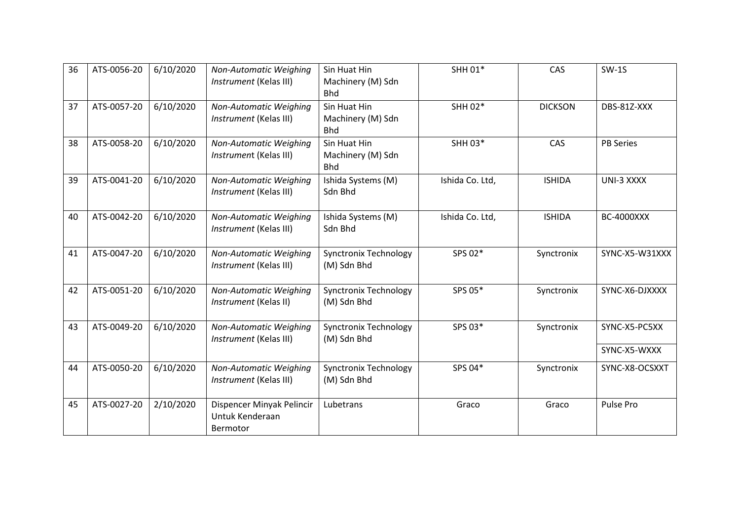| 36 | ATS-0056-20 | 6/10/2020 | Non-Automatic Weighing<br>Instrument (Kelas III)         | Sin Huat Hin<br>Machinery (M) Sdn<br><b>Bhd</b> | SHH 01*         | CAS            | $SW-1S$           |
|----|-------------|-----------|----------------------------------------------------------|-------------------------------------------------|-----------------|----------------|-------------------|
| 37 | ATS-0057-20 | 6/10/2020 | Non-Automatic Weighing<br>Instrument (Kelas III)         | Sin Huat Hin<br>Machinery (M) Sdn<br><b>Bhd</b> | SHH 02*         | <b>DICKSON</b> | DBS-81Z-XXX       |
| 38 | ATS-0058-20 | 6/10/2020 | Non-Automatic Weighing<br>Instrument (Kelas III)         | Sin Huat Hin<br>Machinery (M) Sdn<br><b>Bhd</b> | SHH 03*         | CAS            | <b>PB Series</b>  |
| 39 | ATS-0041-20 | 6/10/2020 | Non-Automatic Weighing<br>Instrument (Kelas III)         | Ishida Systems (M)<br>Sdn Bhd                   | Ishida Co. Ltd, | <b>ISHIDA</b>  | UNI-3 XXXX        |
| 40 | ATS-0042-20 | 6/10/2020 | Non-Automatic Weighing<br>Instrument (Kelas III)         | Ishida Systems (M)<br>Sdn Bhd                   | Ishida Co. Ltd, | <b>ISHIDA</b>  | <b>BC-4000XXX</b> |
| 41 | ATS-0047-20 | 6/10/2020 | Non-Automatic Weighing<br>Instrument (Kelas III)         | <b>Synctronix Technology</b><br>(M) Sdn Bhd     | SPS 02*         | Synctronix     | SYNC-X5-W31XXX    |
| 42 | ATS-0051-20 | 6/10/2020 | Non-Automatic Weighing<br>Instrument (Kelas II)          | <b>Synctronix Technology</b><br>(M) Sdn Bhd     | SPS 05*         | Synctronix     | SYNC-X6-DJXXXX    |
| 43 | ATS-0049-20 | 6/10/2020 | Non-Automatic Weighing<br>Instrument (Kelas III)         | <b>Synctronix Technology</b><br>(M) Sdn Bhd     | SPS 03*         | Synctronix     | SYNC-X5-PC5XX     |
|    |             |           |                                                          |                                                 |                 |                | SYNC-X5-WXXX      |
| 44 | ATS-0050-20 | 6/10/2020 | Non-Automatic Weighing<br>Instrument (Kelas III)         | <b>Synctronix Technology</b><br>(M) Sdn Bhd     | SPS 04*         | Synctronix     | SYNC-X8-OCSXXT    |
| 45 | ATS-0027-20 | 2/10/2020 | Dispencer Minyak Pelincir<br>Untuk Kenderaan<br>Bermotor | Lubetrans                                       | Graco           | Graco          | Pulse Pro         |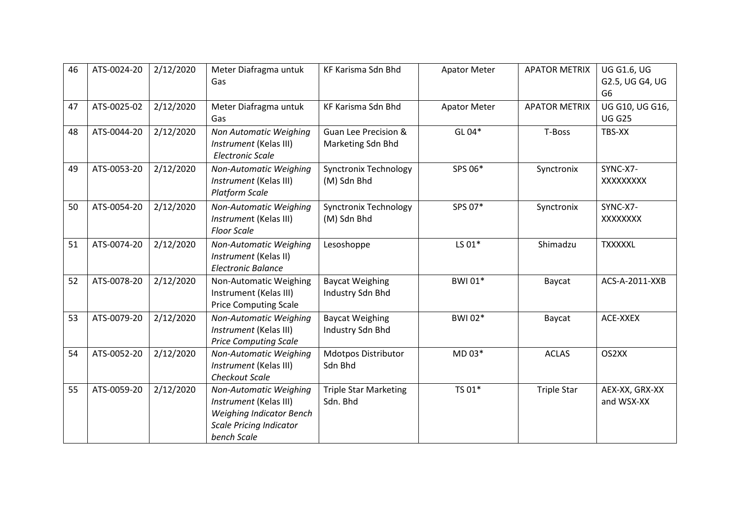| 46 | ATS-0024-20 | 2/12/2020 | Meter Diafragma untuk<br>Gas                                                                                                         | <b>KF Karisma Sdn Bhd</b>                            | <b>Apator Meter</b> | <b>APATOR METRIX</b> | <b>UG G1.6, UG</b><br>G2.5, UG G4, UG<br>G <sub>6</sub> |
|----|-------------|-----------|--------------------------------------------------------------------------------------------------------------------------------------|------------------------------------------------------|---------------------|----------------------|---------------------------------------------------------|
| 47 | ATS-0025-02 | 2/12/2020 | Meter Diafragma untuk<br>Gas                                                                                                         | KF Karisma Sdn Bhd                                   | <b>Apator Meter</b> | <b>APATOR METRIX</b> | UG G10, UG G16,<br><b>UG G25</b>                        |
| 48 | ATS-0044-20 | 2/12/2020 | Non Automatic Weighing<br>Instrument (Kelas III)<br><b>Electronic Scale</b>                                                          | <b>Guan Lee Precision &amp;</b><br>Marketing Sdn Bhd | GL 04*              | T-Boss               | TBS-XX                                                  |
| 49 | ATS-0053-20 | 2/12/2020 | Non-Automatic Weighing<br>Instrument (Kelas III)<br><b>Platform Scale</b>                                                            | <b>Synctronix Technology</b><br>(M) Sdn Bhd          | SPS 06*             | Synctronix           | SYNC-X7-<br>XXXXXXXX                                    |
| 50 | ATS-0054-20 | 2/12/2020 | Non-Automatic Weighing<br>Instrument (Kelas III)<br><b>Floor Scale</b>                                                               | <b>Synctronix Technology</b><br>(M) Sdn Bhd          | SPS 07*             | Synctronix           | SYNC-X7-<br>XXXXXXX                                     |
| 51 | ATS-0074-20 | 2/12/2020 | Non-Automatic Weighing<br>Instrument (Kelas II)<br><b>Electronic Balance</b>                                                         | Lesoshoppe                                           | LS 01*              | Shimadzu             | <b>TXXXXXL</b>                                          |
| 52 | ATS-0078-20 | 2/12/2020 | Non-Automatic Weighing<br>Instrument (Kelas III)<br><b>Price Computing Scale</b>                                                     | <b>Baycat Weighing</b><br>Industry Sdn Bhd           | <b>BWI01*</b>       | Baycat               | ACS-A-2011-XXB                                          |
| 53 | ATS-0079-20 | 2/12/2020 | Non-Automatic Weighing<br>Instrument (Kelas III)<br><b>Price Computing Scale</b>                                                     | <b>Baycat Weighing</b><br>Industry Sdn Bhd           | BWI 02*             | Baycat               | ACE-XXEX                                                |
| 54 | ATS-0052-20 | 2/12/2020 | Non-Automatic Weighing<br>Instrument (Kelas III)<br><b>Checkout Scale</b>                                                            | <b>Mdotpos Distributor</b><br>Sdn Bhd                | MD 03*              | <b>ACLAS</b>         | OS2XX                                                   |
| 55 | ATS-0059-20 | 2/12/2020 | Non-Automatic Weighing<br>Instrument (Kelas III)<br><b>Weighing Indicator Bench</b><br><b>Scale Pricing Indicator</b><br>bench Scale | <b>Triple Star Marketing</b><br>Sdn. Bhd             | TS 01*              | <b>Triple Star</b>   | AEX-XX, GRX-XX<br>and WSX-XX                            |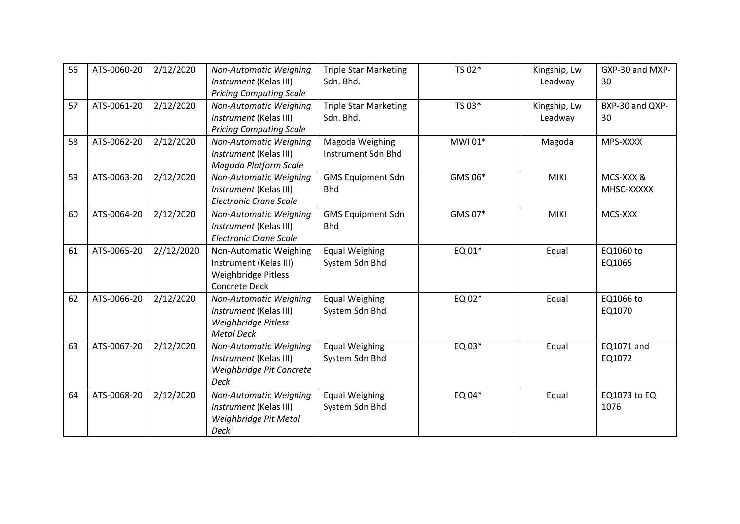| 56 | ATS-0060-20 | 2/12/2020  | Non-Automatic Weighing<br>Instrument (Kelas III)<br><b>Pricing Computing Scale</b>              | <b>Triple Star Marketing</b><br>Sdn. Bhd. | TS 02*  | Kingship, Lw<br>Leadway | GXP-30 and MXP-<br>30   |
|----|-------------|------------|-------------------------------------------------------------------------------------------------|-------------------------------------------|---------|-------------------------|-------------------------|
| 57 | ATS-0061-20 | 2/12/2020  | Non-Automatic Weighing<br>Instrument (Kelas III)<br><b>Pricing Computing Scale</b>              | <b>Triple Star Marketing</b><br>Sdn. Bhd. | TS 03*  | Kingship, Lw<br>Leadway | BXP-30 and QXP-<br>30   |
| 58 | ATS-0062-20 | 2/12/2020  | Non-Automatic Weighing<br>Instrument (Kelas III)<br>Magoda Platform Scale                       | Magoda Weighing<br>Instrument Sdn Bhd     | MWI 01* | Magoda                  | MPS-XXXX                |
| 59 | ATS-0063-20 | 2/12/2020  | Non-Automatic Weighing<br>Instrument (Kelas III)<br><b>Electronic Crane Scale</b>               | <b>GMS Equipment Sdn</b><br><b>Bhd</b>    | GMS 06* | <b>MIKI</b>             | MCS-XXX &<br>MHSC-XXXXX |
| 60 | ATS-0064-20 | 2/12/2020  | Non-Automatic Weighing<br>Instrument (Kelas III)<br><b>Electronic Crane Scale</b>               | <b>GMS Equipment Sdn</b><br><b>Bhd</b>    | GMS 07* | <b>MIKI</b>             | MCS-XXX                 |
| 61 | ATS-0065-20 | 2//12/2020 | Non-Automatic Weighing<br>Instrument (Kelas III)<br>Weighbridge Pitless<br><b>Concrete Deck</b> | <b>Equal Weighing</b><br>System Sdn Bhd   | EQ 01*  | Equal                   | EQ1060 to<br>EQ1065     |
| 62 | ATS-0066-20 | 2/12/2020  | Non-Automatic Weighing<br>Instrument (Kelas III)<br>Weighbridge Pitless<br><b>Metal Deck</b>    | <b>Equal Weighing</b><br>System Sdn Bhd   | EQ 02*  | Equal                   | EQ1066 to<br>EQ1070     |
| 63 | ATS-0067-20 | 2/12/2020  | Non-Automatic Weighing<br>Instrument (Kelas III)<br>Weighbridge Pit Concrete<br><b>Deck</b>     | <b>Equal Weighing</b><br>System Sdn Bhd   | EQ 03*  | Equal                   | EQ1071 and<br>EQ1072    |
| 64 | ATS-0068-20 | 2/12/2020  | Non-Automatic Weighing<br>Instrument (Kelas III)<br>Weighbridge Pit Metal<br>Deck               | <b>Equal Weighing</b><br>System Sdn Bhd   | EQ 04*  | Equal                   | EQ1073 to EQ<br>1076    |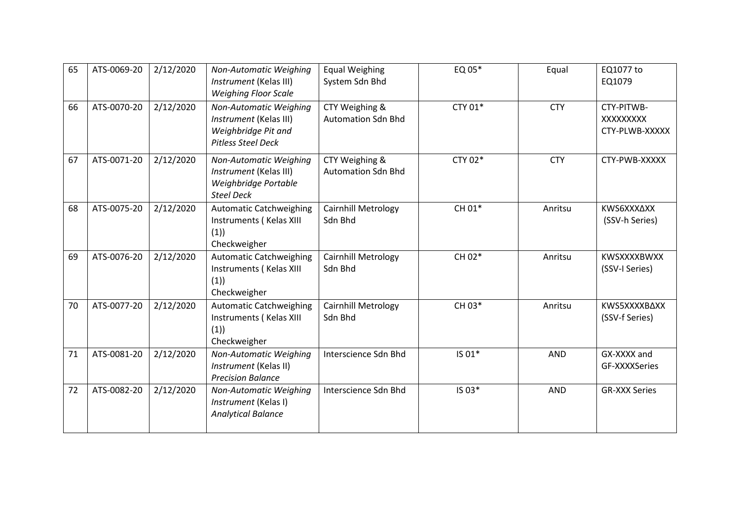| 65 | ATS-0069-20 | 2/12/2020 | Non-Automatic Weighing<br>Instrument (Kelas III)<br><b>Weighing Floor Scale</b>                      | <b>Equal Weighing</b><br>System Sdn Bhd     | EQ 05*  | Equal      | EQ1077 to<br>EQ1079                      |
|----|-------------|-----------|------------------------------------------------------------------------------------------------------|---------------------------------------------|---------|------------|------------------------------------------|
| 66 | ATS-0070-20 | 2/12/2020 | Non-Automatic Weighing<br>Instrument (Kelas III)<br>Weighbridge Pit and<br><b>Pitless Steel Deck</b> | CTY Weighing &<br><b>Automation Sdn Bhd</b> | CTY 01* | <b>CTY</b> | CTY-PITWB-<br>XXXXXXXX<br>CTY-PLWB-XXXXX |
| 67 | ATS-0071-20 | 2/12/2020 | Non-Automatic Weighing<br>Instrument (Kelas III)<br>Weighbridge Portable<br><b>Steel Deck</b>        | CTY Weighing &<br><b>Automation Sdn Bhd</b> | CTY 02* | <b>CTY</b> | CTY-PWB-XXXXX                            |
| 68 | ATS-0075-20 | 2/12/2020 | <b>Automatic Catchweighing</b><br>Instruments (Kelas XIII<br>(1)<br>Checkweigher                     | Cairnhill Metrology<br>Sdn Bhd              | CH 01*  | Anritsu    | KWS6XXXAXX<br>(SSV-h Series)             |
| 69 | ATS-0076-20 | 2/12/2020 | <b>Automatic Catchweighing</b><br>Instruments (Kelas XIII<br>(1)<br>Checkweigher                     | <b>Cairnhill Metrology</b><br>Sdn Bhd       | CH 02*  | Anritsu    | KWSXXXXBWXX<br>(SSV-I Series)            |
| 70 | ATS-0077-20 | 2/12/2020 | <b>Automatic Catchweighing</b><br>Instruments (Kelas XIII<br>(1)<br>Checkweigher                     | Cairnhill Metrology<br>Sdn Bhd              | CH 03*  | Anritsu    | KWS5XXXXBAXX<br>(SSV-f Series)           |
| 71 | ATS-0081-20 | 2/12/2020 | Non-Automatic Weighing<br>Instrument (Kelas II)<br><b>Precision Balance</b>                          | Interscience Sdn Bhd                        | IS 01*  | <b>AND</b> | GX-XXXX and<br>GF-XXXXSeries             |
| 72 | ATS-0082-20 | 2/12/2020 | Non-Automatic Weighing<br>Instrument (Kelas I)<br><b>Analytical Balance</b>                          | Interscience Sdn Bhd                        | IS 03*  | <b>AND</b> | <b>GR-XXX Series</b>                     |